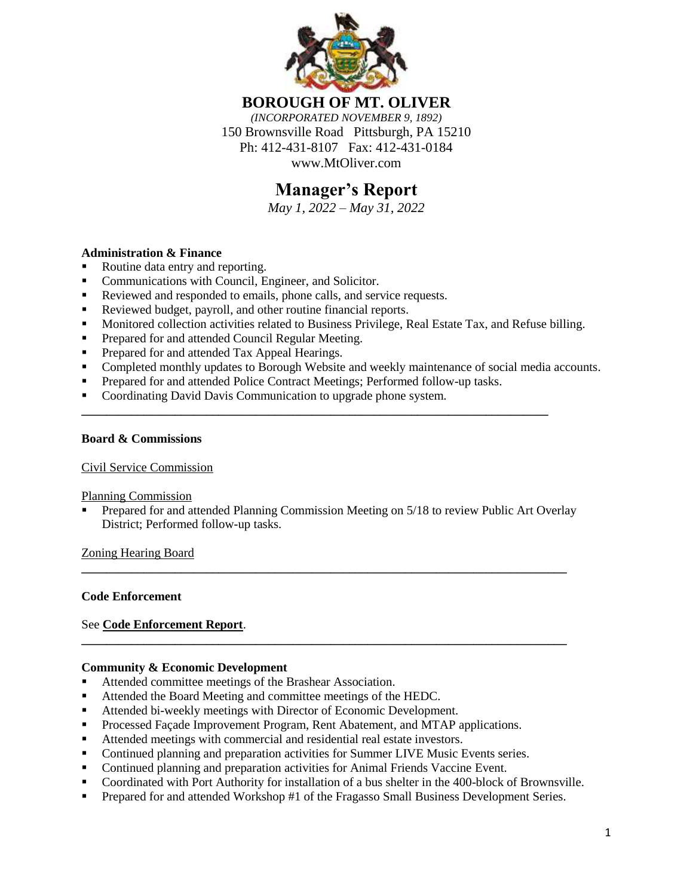

**BOROUGH OF MT. OLIVER** *(INCORPORATED NOVEMBER 9, 1892)* 150 Brownsville Road Pittsburgh, PA 15210 Ph: 412-431-8107 Fax: 412-431-0184 www.MtOliver.com

# **Manager's Report**

*May 1, 2022 – May 31, 2022*

# **Administration & Finance**

- Routine data entry and reporting.
- **Communications with Council, Engineer, and Solicitor.**
- Reviewed and responded to emails, phone calls, and service requests.
- Reviewed budget, payroll, and other routine financial reports.
- Monitored collection activities related to Business Privilege, Real Estate Tax, and Refuse billing.
- **Prepared for and attended Council Regular Meeting.**
- Prepared for and attended Tax Appeal Hearings.
- Completed monthly updates to Borough Website and weekly maintenance of social media accounts.
- **Prepared for and attended Police Contract Meetings; Performed follow-up tasks.**

**\_\_\_\_\_\_\_\_\_\_\_\_\_\_\_\_\_\_\_\_\_\_\_\_\_\_\_\_\_\_\_\_\_\_\_\_\_\_\_\_\_\_\_\_\_\_\_\_\_\_\_\_\_\_\_\_\_\_\_\_\_\_\_\_\_\_\_\_\_\_\_\_\_\_\_**

• Coordinating David Davis Communication to upgrade phone system.

#### **Board & Commissions**

#### Civil Service Commission

#### Planning Commission

 Prepared for and attended Planning Commission Meeting on 5/18 to review Public Art Overlay District; Performed follow-up tasks.

**\_\_\_\_\_\_\_\_\_\_\_\_\_\_\_\_\_\_\_\_\_\_\_\_\_\_\_\_\_\_\_\_\_\_\_\_\_\_\_\_\_\_\_\_\_\_\_\_\_\_\_\_\_\_\_\_\_\_\_\_\_\_\_\_\_\_\_\_\_\_\_\_\_\_\_\_\_\_**

**\_\_\_\_\_\_\_\_\_\_\_\_\_\_\_\_\_\_\_\_\_\_\_\_\_\_\_\_\_\_\_\_\_\_\_\_\_\_\_\_\_\_\_\_\_\_\_\_\_\_\_\_\_\_\_\_\_\_\_\_\_\_\_\_\_\_\_\_\_\_\_\_\_\_\_\_\_\_**

Zoning Hearing Board

#### **Code Enforcement**

#### See **Code Enforcement Report**.

#### **Community & Economic Development**

- Attended committee meetings of the Brashear Association.
- Attended the Board Meeting and committee meetings of the HEDC.
- Attended bi-weekly meetings with Director of Economic Development.
- Processed Façade Improvement Program, Rent Abatement, and MTAP applications.
- Attended meetings with commercial and residential real estate investors.
- Continued planning and preparation activities for Summer LIVE Music Events series.
- Continued planning and preparation activities for Animal Friends Vaccine Event.
- Coordinated with Port Authority for installation of a bus shelter in the 400-block of Brownsville.
- **Prepared for and attended Workshop #1 of the Fragasso Small Business Development Series.**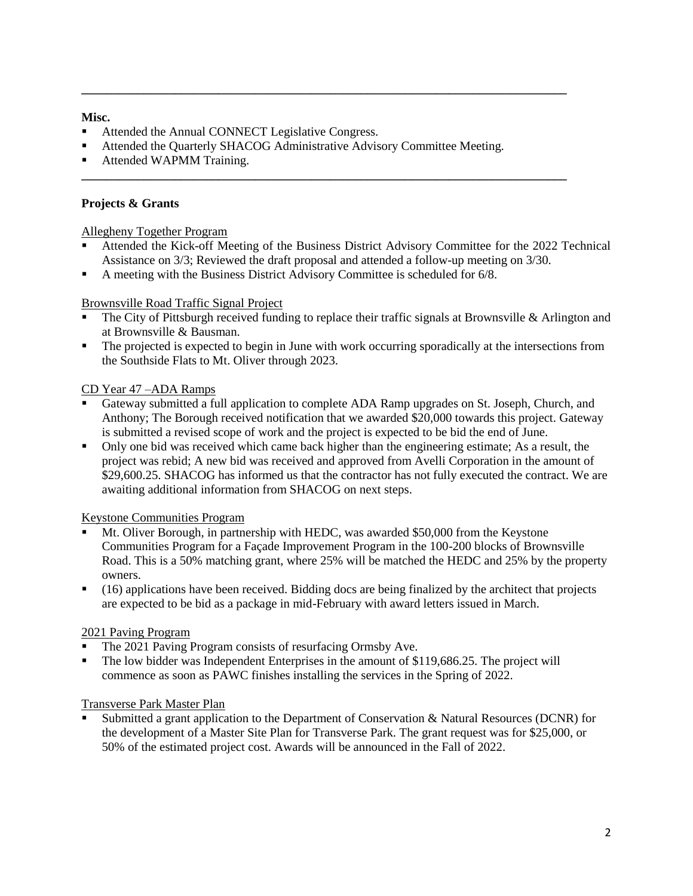#### **Misc.**

- Attended the Annual CONNECT Legislative Congress.
- Attended the Quarterly SHACOG Administrative Advisory Committee Meeting.

**\_\_\_\_\_\_\_\_\_\_\_\_\_\_\_\_\_\_\_\_\_\_\_\_\_\_\_\_\_\_\_\_\_\_\_\_\_\_\_\_\_\_\_\_\_\_\_\_\_\_\_\_\_\_\_\_\_\_\_\_\_\_\_\_\_\_\_\_\_\_\_\_\_\_\_\_\_\_**

**\_\_\_\_\_\_\_\_\_\_\_\_\_\_\_\_\_\_\_\_\_\_\_\_\_\_\_\_\_\_\_\_\_\_\_\_\_\_\_\_\_\_\_\_\_\_\_\_\_\_\_\_\_\_\_\_\_\_\_\_\_\_\_\_\_\_\_\_\_\_\_\_\_\_\_\_\_\_**

Attended WAPMM Training.

# **Projects & Grants**

#### Allegheny Together Program

- Attended the Kick-off Meeting of the Business District Advisory Committee for the 2022 Technical Assistance on 3/3; Reviewed the draft proposal and attended a follow-up meeting on 3/30.
- A meeting with the Business District Advisory Committee is scheduled for 6/8.

#### Brownsville Road Traffic Signal Project

- The City of Pittsburgh received funding to replace their traffic signals at Brownsville & Arlington and at Brownsville & Bausman.
- The projected is expected to begin in June with work occurring sporadically at the intersections from the Southside Flats to Mt. Oliver through 2023.

#### CD Year 47 –ADA Ramps

- Gateway submitted a full application to complete ADA Ramp upgrades on St. Joseph, Church, and Anthony; The Borough received notification that we awarded \$20,000 towards this project. Gateway is submitted a revised scope of work and the project is expected to be bid the end of June.
- Only one bid was received which came back higher than the engineering estimate; As a result, the project was rebid; A new bid was received and approved from Avelli Corporation in the amount of \$29,600.25. SHACOG has informed us that the contractor has not fully executed the contract. We are awaiting additional information from SHACOG on next steps.

# Keystone Communities Program

- Mt. Oliver Borough, in partnership with HEDC, was awarded \$50,000 from the Keystone Communities Program for a Façade Improvement Program in the 100-200 blocks of Brownsville Road. This is a 50% matching grant, where 25% will be matched the HEDC and 25% by the property owners.
- (16) applications have been received. Bidding docs are being finalized by the architect that projects are expected to be bid as a package in mid-February with award letters issued in March.

# 2021 Paving Program

- The 2021 Paving Program consists of resurfacing Ormsby Ave.
- The low bidder was Independent Enterprises in the amount of \$119,686.25. The project will commence as soon as PAWC finishes installing the services in the Spring of 2022.

#### Transverse Park Master Plan

 Submitted a grant application to the Department of Conservation & Natural Resources (DCNR) for the development of a Master Site Plan for Transverse Park. The grant request was for \$25,000, or 50% of the estimated project cost. Awards will be announced in the Fall of 2022.